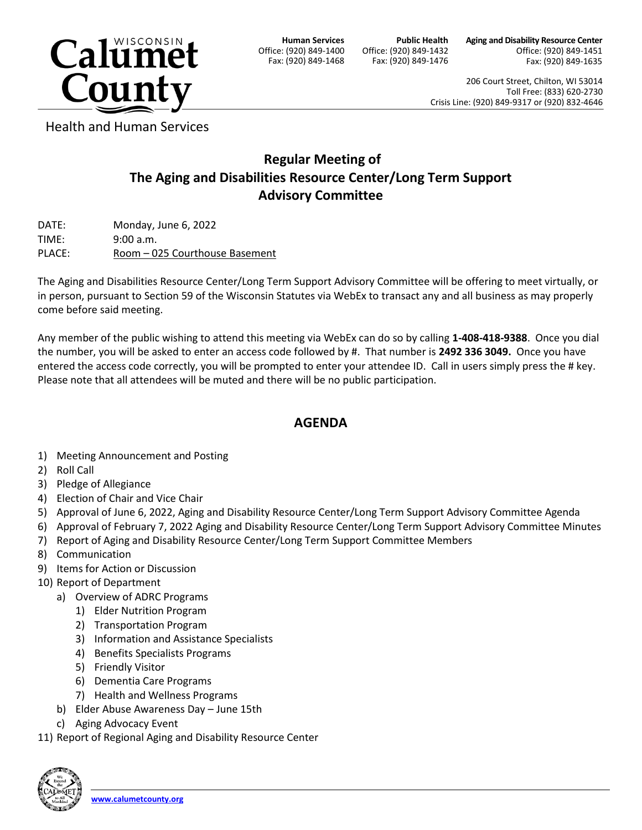

**Human Services** Office: (920) 849-1400 Fax: (920) 849-1468

**Public Health** Office: (920) 849-1432 Fax: (920) 849-1476 **Aging and Disability Resource Center** Office: (920) 849-1451 Fax: (920) 849-1635

206 Court Street, Chilton, WI 53014 Toll Free: (833) 620-2730 Crisis Line: (920) 849-9317 or (920) 832-4646

Health and Human Services

## **Regular Meeting of The Aging and Disabilities Resource Center/Long Term Support Advisory Committee**

DATE: Monday, June 6, 2022 TIME: 9:00 a.m. PLACE: Room – 025 Courthouse Basement

The Aging and Disabilities Resource Center/Long Term Support Advisory Committee will be offering to meet virtually, or in person, pursuant to Section 59 of the Wisconsin Statutes via WebEx to transact any and all business as may properly come before said meeting.

Any member of the public wishing to attend this meeting via WebEx can do so by calling **1-408-418-9388**. Once you dial the number, you will be asked to enter an access code followed by #. That number is **2492 336 3049.** Once you have entered the access code correctly, you will be prompted to enter your attendee ID. Call in users simply press the # key. Please note that all attendees will be muted and there will be no public participation.

## **AGENDA**

- 1) Meeting Announcement and Posting
- 2) Roll Call
- 3) Pledge of Allegiance
- 4) Election of Chair and Vice Chair
- 5) Approval of June 6, 2022, Aging and Disability Resource Center/Long Term Support Advisory Committee Agenda
- 6) Approval of February 7, 2022 Aging and Disability Resource Center/Long Term Support Advisory Committee Minutes
- 7) Report of Aging and Disability Resource Center/Long Term Support Committee Members
- 8) Communication
- 9) Items for Action or Discussion
- 10) Report of Department
	- a) Overview of ADRC Programs
		- 1) Elder Nutrition Program
		- 2) Transportation Program
		- 3) Information and Assistance Specialists
		- 4) Benefits Specialists Programs
		- 5) Friendly Visitor
		- 6) Dementia Care Programs
		- 7) Health and Wellness Programs
	- b) Elder Abuse Awareness Day June 15th
	- c) Aging Advocacy Event
- 11) Report of Regional Aging and Disability Resource Center